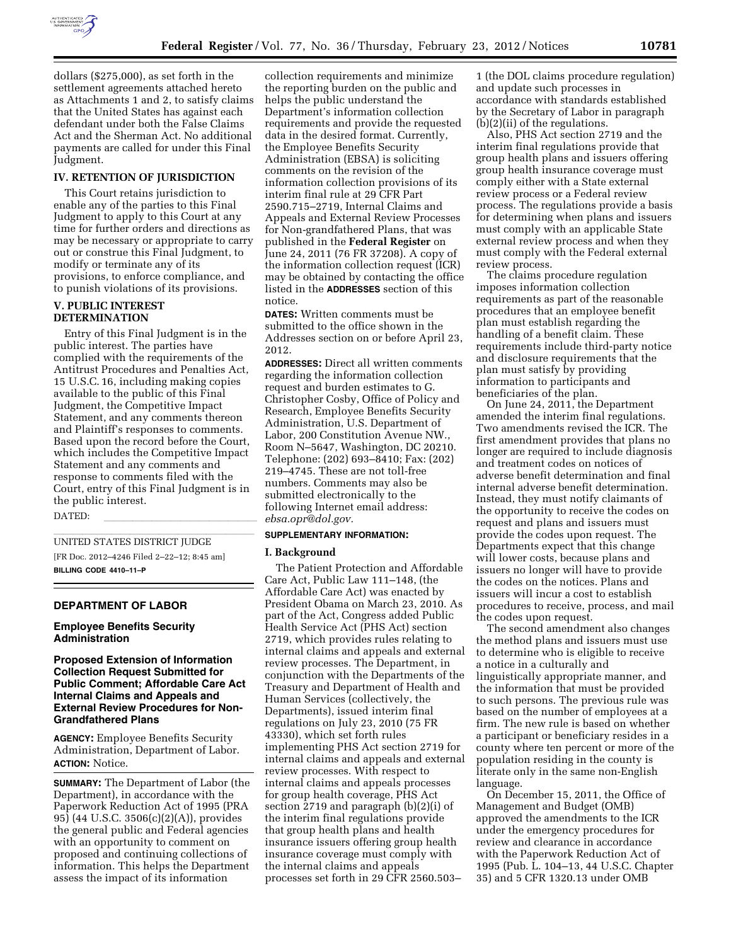

dollars (\$275,000), as set forth in the settlement agreements attached hereto as Attachments 1 and 2, to satisfy claims that the United States has against each defendant under both the False Claims Act and the Sherman Act. No additional payments are called for under this Final Judgment.

### **IV. RETENTION OF JURISDICTION**

This Court retains jurisdiction to enable any of the parties to this Final Judgment to apply to this Court at any time for further orders and directions as may be necessary or appropriate to carry out or construe this Final Judgment, to modify or terminate any of its provisions, to enforce compliance, and to punish violations of its provisions.

### **V. PUBLIC INTEREST DETERMINATION**

Entry of this Final Judgment is in the public interest. The parties have complied with the requirements of the Antitrust Procedures and Penalties Act, 15 U.S.C. 16, including making copies available to the public of this Final Judgment, the Competitive Impact Statement, and any comments thereon and Plaintiff's responses to comments. Based upon the record before the Court, which includes the Competitive Impact Statement and any comments and response to comments filed with the Court, entry of this Final Judgment is in the public interest.

DATED: llllllllllllllll

UNITED STATES DISTRICT JUDGE [FR Doc. 2012–4246 Filed 2–22–12; 8:45 am] **BILLING CODE 4410–11–P** 

### **DEPARTMENT OF LABOR**

#### **Employee Benefits Security Administration**

# **Proposed Extension of Information Collection Request Submitted for Public Comment; Affordable Care Act Internal Claims and Appeals and External Review Procedures for Non-Grandfathered Plans**

**AGENCY:** Employee Benefits Security Administration, Department of Labor. **ACTION:** Notice.

**SUMMARY:** The Department of Labor (the Department), in accordance with the Paperwork Reduction Act of 1995 (PRA 95) (44 U.S.C. 3506(c)(2)(A)), provides the general public and Federal agencies with an opportunity to comment on proposed and continuing collections of information. This helps the Department assess the impact of its information

collection requirements and minimize the reporting burden on the public and helps the public understand the Department's information collection requirements and provide the requested data in the desired format. Currently, the Employee Benefits Security Administration (EBSA) is soliciting comments on the revision of the information collection provisions of its interim final rule at 29 CFR Part 2590.715–2719, Internal Claims and Appeals and External Review Processes for Non-grandfathered Plans, that was published in the **Federal Register** on June 24, 2011 (76 FR 37208). A copy of the information collection request (ICR) may be obtained by contacting the office listed in the **ADDRESSES** section of this notice.

**DATES:** Written comments must be submitted to the office shown in the Addresses section on or before April 23, 2012.

**ADDRESSES:** Direct all written comments regarding the information collection request and burden estimates to G. Christopher Cosby, Office of Policy and Research, Employee Benefits Security Administration, U.S. Department of Labor, 200 Constitution Avenue NW., Room N–5647, Washington, DC 20210. Telephone: (202) 693–8410; Fax: (202) 219–4745. These are not toll-free numbers. Comments may also be submitted electronically to the following Internet email address: *ebsa.opr@dol.gov.* 

# **SUPPLEMENTARY INFORMATION:**

#### **I. Background**

The Patient Protection and Affordable Care Act, Public Law 111–148, (the Affordable Care Act) was enacted by President Obama on March 23, 2010. As part of the Act, Congress added Public Health Service Act (PHS Act) section 2719, which provides rules relating to internal claims and appeals and external review processes. The Department, in conjunction with the Departments of the Treasury and Department of Health and Human Services (collectively, the Departments), issued interim final regulations on July 23, 2010 (75 FR 43330), which set forth rules implementing PHS Act section 2719 for internal claims and appeals and external review processes. With respect to internal claims and appeals processes for group health coverage, PHS Act section 2719 and paragraph (b)(2)(i) of the interim final regulations provide that group health plans and health insurance issuers offering group health insurance coverage must comply with the internal claims and appeals processes set forth in 29 CFR 2560.503–

1 (the DOL claims procedure regulation) and update such processes in accordance with standards established by the Secretary of Labor in paragraph  $(b)(2)(ii)$  of the regulations.

Also, PHS Act section 2719 and the interim final regulations provide that group health plans and issuers offering group health insurance coverage must comply either with a State external review process or a Federal review process. The regulations provide a basis for determining when plans and issuers must comply with an applicable State external review process and when they must comply with the Federal external review process.

The claims procedure regulation imposes information collection requirements as part of the reasonable procedures that an employee benefit plan must establish regarding the handling of a benefit claim. These requirements include third-party notice and disclosure requirements that the plan must satisfy by providing information to participants and beneficiaries of the plan.

On June 24, 2011, the Department amended the interim final regulations. Two amendments revised the ICR. The first amendment provides that plans no longer are required to include diagnosis and treatment codes on notices of adverse benefit determination and final internal adverse benefit determination. Instead, they must notify claimants of the opportunity to receive the codes on request and plans and issuers must provide the codes upon request. The Departments expect that this change will lower costs, because plans and issuers no longer will have to provide the codes on the notices. Plans and issuers will incur a cost to establish procedures to receive, process, and mail the codes upon request.

The second amendment also changes the method plans and issuers must use to determine who is eligible to receive a notice in a culturally and linguistically appropriate manner, and the information that must be provided to such persons. The previous rule was based on the number of employees at a firm. The new rule is based on whether a participant or beneficiary resides in a county where ten percent or more of the population residing in the county is literate only in the same non-English language.

On December 15, 2011, the Office of Management and Budget (OMB) approved the amendments to the ICR under the emergency procedures for review and clearance in accordance with the Paperwork Reduction Act of 1995 (Pub. L. 104–13, 44 U.S.C. Chapter 35) and 5 CFR 1320.13 under OMB